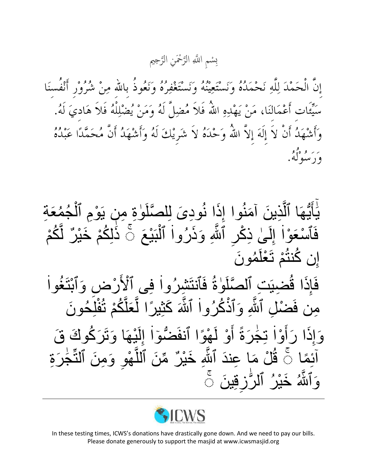سْمِ اللَّهِ الرَّحْمَنِ الرَّحِيم ته<br>ل ت<br>لا  $\overline{\mathbf{C}}$ ِب

إِنَّ الْحَمْدَ لِلَّهِ نَحْمَدُهُ وَنَسْتَعِينُهُ وَنَسْتَغْفِرُهُ وَنَعُوذُ بِاللهِ مِنْ شُرُوْرٍ أَنْفُسنَا سَيِّئَات أَعْمَالنَا، مَنْ يَهْدِهِ اللَّهُ فَلاَ مُضِلَّ لَهُ وَمَنْ يُضْلِلْهُ فَلاَ هَاديَ لَهُ. وَأَشْهَدُ أَنْ لاَ إِلَهَ إِلاَّ اللَّهُ وَحْدَهُ لاَ شَرِيْكَ لَهُ وَأَشْهَدُ أَنَّ مُحَمَّدًا عَبْدُهُ بر او ه<sup>و</sup>و.<br>و د سوله.

يَأَيُّهَا ٱلَّذِينَ آمَنُوا إِذَا نُودِىَ لِلصَّلَوٰةِ مِن يَوْمِ ٱلْمُحُمَّةِ ء<br>م ر<br>•  $\overline{\phantom{a}}$ ֡**֡** و<br>⊣  $\frac{1}{2}$ و<br>⊣ تم<br>ا ن<br>ٌمُ م<br>ا<br>ا َٰٓ ֧֖֖֖֖֖֖֧֖֖֧֦ׅ֚֚֚֚֚֚֚֚֚֚֚֚֚֚֚֝֝֝֓<u>֚</u> فَٱسْعَوْا إِلَىٰ ذِكْرِ ٱللَّهِ وَذَرُوا ٱلْنَبْعَ ۚ ذَٰلِكُمْ خَيْرٌ لَّكُمْ ل <u>ا</u>لا:<br>-ْ  $\vdots$ نة<br>كما ا<br>ا لَ  $\frac{1}{2}$  $\vdots$ ْ إِن كُنثُمْ تَعْلَمُونَ ر<br>م ْ ْ ْ و<br>سا  $\vdots$ فَإِذَا قُضِيَتِ ٱلصَّلَوٰةُ فَٱنتَشِرُواْ فِي ٱلْأَرْضِ وَٱبْتَغُواْ ْ  $\vdots$ ا<br>ا د<br>في |<br>ءِ مِن فَضْلِ ٱلثَّهِ وَٱذْكُرُواْ ٱلثَّهَ كَثِيرًا لَّعَلَّكُمْ تُفْلَِحُونَ ْ َّ ً<br>ا تة<br>كما  $\vdots$ ْ نة<br>فياتي وَإِذَا رَأَوْا تِجْرَةً أَوْ لَهْوًا ٱنفَضُّوٓا إِلَيْهَا وَتَرَكُوكَ قَ **ّ** لَ  $\frac{1}{2}$  $\vdots$  $\overline{a}$ ْ ْ م<br>ا<br>ا ٰ  $\vdots$ ْ م<br>ا<br>ا  $\frac{1}{2}$ ئِمًا ۚ قُُلْ مَا عِندَ ٱلثَّهِ خَيْرٌ مِّنَ ٱللَّهْوِ وَمِنَ ٱلنَّجٰرَةِ <u>ّ</u>ٰ وروبا<br>ا ْ َّ ِّنِ نة<br>فيا و<br>مان آَٰ وَٱللَّٰهُ خَيْرُ ٱلرُّزِقِينَ ۚ ֖ׅׅ֧ׅׅׅׅׅׅׅׅ֧֚֚֚֚֚֚֚֚֚֚֚֚֚֚֚֚֚֚֬֝֡֓֡֘֝֓֓֓֓֡֓֟֓֡֓֡֟֓֡֟֓֡֓֡֓֡֟ و<br>\_ نة<br>فيا



In these testing times, ICWS's donations have drastically gone down. And we need to pay our bills. Please donate generously to support the masjid at www.icwsmasjid.org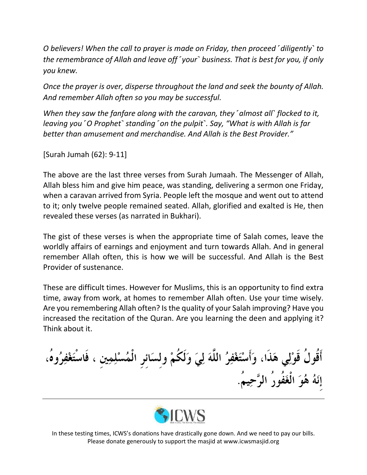*O believers! When the call to prayer is made on Friday, then proceed ˹diligently˺ to the remembrance of Allah and leave off ˹your˺ business. That is best for you, if only you knew.*

*Once the prayer is over, disperse throughout the land and seek the bounty of Allah. And remember Allah often so you may be successful.*

*When they saw the fanfare along with the caravan, they ˹almost all˺ flocked to it, leaving you "O Prophet" standing "on the pulpit". Say, "What is with Allah is far better than amusement and merchandise. And Allah is the Best Provider."*

[Surah Jumah (62): 9-11]

The above are the last three verses from Surah Jumaah. The Messenger of Allah, Allah bless him and give him peace, was standing, delivering a sermon one Friday, when a caravan arrived from Syria. People left the mosque and went out to attend to it; only twelve people remained seated. Allah, glorified and exalted is He, then revealed these verses (as narrated in Bukhari).

The gist of these verses is when the appropriate time of Salah comes, leave the worldly affairs of earnings and enjoyment and turn towards Allah. And in general remember Allah often, this is how we will be successful. And Allah is the Best Provider of sustenance.

These are difficult times. However for Muslims, this is an opportunity to find extra time, away from work, at homes to remember Allah often. Use your time wisely. Are you remembering Allah often? Is the quality of your Salah improving? Have you increased the recitation of the Quran. Are you learning the deen and applying it? Think about it.

أَقُولُ قَوْلِي هَذَا، وَأَسْتَغْفِرُ اللَّهَ لِيَ وَلَكُمْ ولسَائر الْمُسْلِمِين ، فَاس إِنَهُ هُوَ الْغَفُورُ الرَّحِيمُ.



In these testing times, ICWS's donations have drastically gone down. And we need to pay our bills. Please donate generously to support the masjid at www.icwsmasjid.org